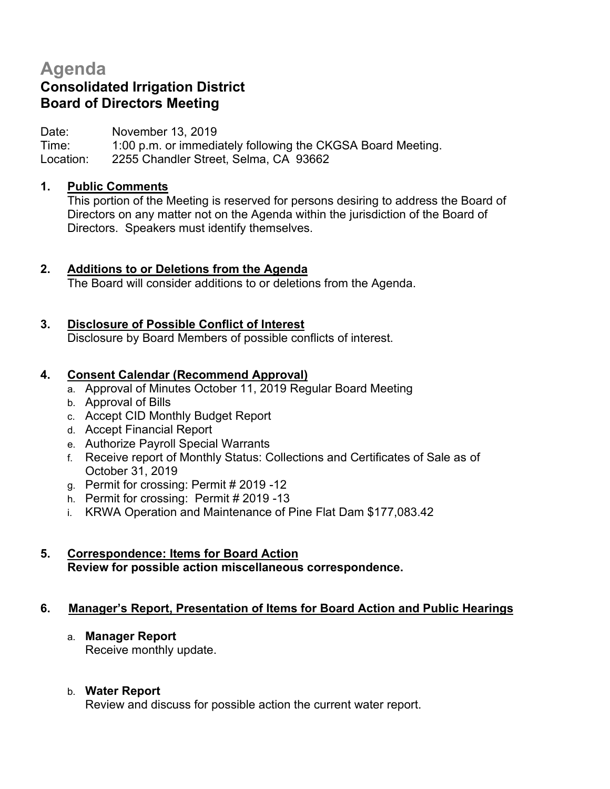# **Agenda**

## **Consolidated Irrigation District Board of Directors Meeting**

Date: November 13, 2019

Time: 1:00 p.m. or immediately following the CKGSA Board Meeting. Location: 2255 Chandler Street, Selma, CA 93662

## **1. Public Comments**

This portion of the Meeting is reserved for persons desiring to address the Board of Directors on any matter not on the Agenda within the jurisdiction of the Board of Directors. Speakers must identify themselves.

## **2. Additions to or Deletions from the Agenda**

The Board will consider additions to or deletions from the Agenda.

## **3. Disclosure of Possible Conflict of Interest**

Disclosure by Board Members of possible conflicts of interest.

## **4. Consent Calendar (Recommend Approval)**

- a. Approval of Minutes October 11, 2019 Regular Board Meeting
- b. Approval of Bills
- c. Accept CID Monthly Budget Report
- d. Accept Financial Report
- e. Authorize Payroll Special Warrants
- f. Receive report of Monthly Status: Collections and Certificates of Sale as of October 31, 2019
- g. Permit for crossing: Permit # 2019 -12
- h. Permit for crossing: Permit # 2019 -13
- i. KRWA Operation and Maintenance of Pine Flat Dam \$177,083.42

## **5. Correspondence: Items for Board Action Review for possible action miscellaneous correspondence.**

#### **6. Manager's Report, Presentation of Items for Board Action and Public Hearings**

#### a. **Manager Report**

Receive monthly update.

#### b. **Water Report**

Review and discuss for possible action the current water report.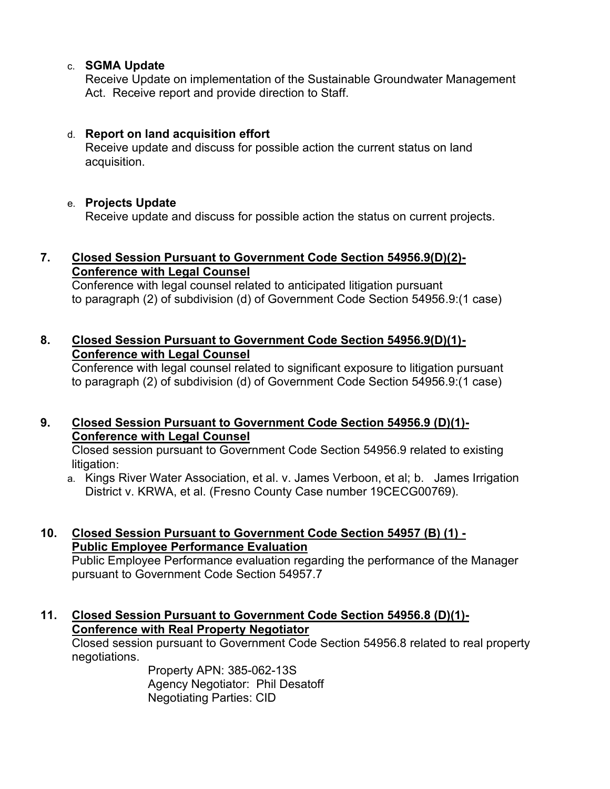#### c. **SGMA Update**

Receive Update on implementation of the Sustainable Groundwater Management Act. Receive report and provide direction to Staff.

## d. **Report on land acquisition effort**

Receive update and discuss for possible action the current status on land acquisition.

## e. **Projects Update**

Receive update and discuss for possible action the status on current projects.

## **7. Closed Session Pursuant to Government Code Section 54956.9(D)(2)- Conference with Legal Counsel**

Conference with legal counsel related to anticipated litigation pursuant to paragraph (2) of subdivision (d) of Government Code Section 54956.9:(1 case)

## **8. Closed Session Pursuant to Government Code Section 54956.9(D)(1)- Conference with Legal Counsel**

 Conference with legal counsel related to significant exposure to litigation pursuant to paragraph (2) of subdivision (d) of Government Code Section 54956.9:(1 case)

## **9. Closed Session Pursuant to Government Code Section 54956.9 (D)(1)- Conference with Legal Counsel**

Closed session pursuant to Government Code Section 54956.9 related to existing litigation:

a. Kings River Water Association, et al. v. James Verboon, et al; b. James Irrigation District v. KRWA, et al. (Fresno County Case number 19CECG00769).

## **10. Closed Session Pursuant to Government Code Section 54957 (B) (1) - Public Employee Performance Evaluation**

Public Employee Performance evaluation regarding the performance of the Manager pursuant to Government Code Section 54957.7

## **11. Closed Session Pursuant to Government Code Section 54956.8 (D)(1)- Conference with Real Property Negotiator**

Closed session pursuant to Government Code Section 54956.8 related to real property negotiations.

> Property APN: 385-062-13S Agency Negotiator: Phil Desatoff Negotiating Parties: CID